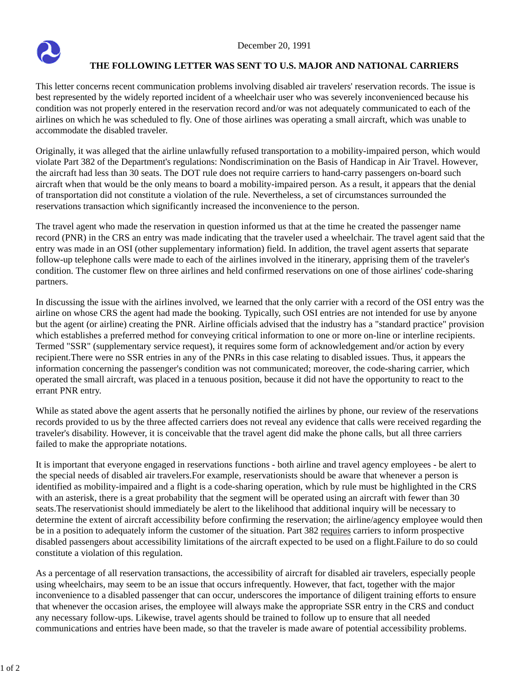

## **THE FOLLOWING LETTER WAS SENT TO U.S. MAJOR AND NATIONAL CARRIERS**

This letter concerns recent communication problems involving disabled air travelers' reservation records. The issue is best represented by the widely reported incident of a wheelchair user who was severely inconvenienced because his condition was not properly entered in the reservation record and/or was not adequately communicated to each of the airlines on which he was scheduled to fly. One of those airlines was operating a small aircraft, which was unable to accommodate the disabled traveler.

Originally, it was alleged that the airline unlawfully refused transportation to a mobility-impaired person, which would violate Part 382 of the Department's regulations: Nondiscrimination on the Basis of Handicap in Air Travel. However, the aircraft had less than 30 seats. The DOT rule does not require carriers to hand-carry passengers on-board such aircraft when that would be the only means to board a mobility-impaired person. As a result, it appears that the denial of transportation did not constitute a violation of the rule. Nevertheless, a set of circumstances surrounded the reservations transaction which significantly increased the inconvenience to the person.

The travel agent who made the reservation in question informed us that at the time he created the passenger name record (PNR) in the CRS an entry was made indicating that the traveler used a wheelchair. The travel agent said that the entry was made in an OSI (other supplementary information) field. In addition, the travel agent asserts that separate follow-up telephone calls were made to each of the airlines involved in the itinerary, apprising them of the traveler's condition. The customer flew on three airlines and held confirmed reservations on one of those airlines' code-sharing partners.

In discussing the issue with the airlines involved, we learned that the only carrier with a record of the OSI entry was the airline on whose CRS the agent had made the booking. Typically, such OSI entries are not intended for use by anyone but the agent (or airline) creating the PNR. Airline officials advised that the industry has a "standard practice" provision which establishes a preferred method for conveying critical information to one or more on-line or interline recipients. Termed "SSR" (supplementary service request), it requires some form of acknowledgement and/or action by every recipient.There were no SSR entries in any of the PNRs in this case relating to disabled issues. Thus, it appears the information concerning the passenger's condition was not communicated; moreover, the code-sharing carrier, which operated the small aircraft, was placed in a tenuous position, because it did not have the opportunity to react to the errant PNR entry.

While as stated above the agent asserts that he personally notified the airlines by phone, our review of the reservations records provided to us by the three affected carriers does not reveal any evidence that calls were received regarding the traveler's disability. However, it is conceivable that the travel agent did make the phone calls, but all three carriers failed to make the appropriate notations.

It is important that everyone engaged in reservations functions - both airline and travel agency employees - be alert to the special needs of disabled air travelers.For example, reservationists should be aware that whenever a person is identified as mobility-impaired and a flight is a code-sharing operation, which by rule must be highlighted in the CRS with an asterisk, there is a great probability that the segment will be operated using an aircraft with fewer than 30 seats.The reservationist should immediately be alert to the likelihood that additional inquiry will be necessary to determine the extent of aircraft accessibility before confirming the reservation; the airline/agency employee would then be in a position to adequately inform the customer of the situation. Part 382 requires carriers to inform prospective disabled passengers about accessibility limitations of the aircraft expected to be used on a flight.Failure to do so could constitute a violation of this regulation.

As a percentage of all reservation transactions, the accessibility of aircraft for disabled air travelers, especially people using wheelchairs, may seem to be an issue that occurs infrequently. However, that fact, together with the major inconvenience to a disabled passenger that can occur, underscores the importance of diligent training efforts to ensure that whenever the occasion arises, the employee will always make the appropriate SSR entry in the CRS and conduct any necessary follow-ups. Likewise, travel agents should be trained to follow up to ensure that all needed communications and entries have been made, so that the traveler is made aware of potential accessibility problems.